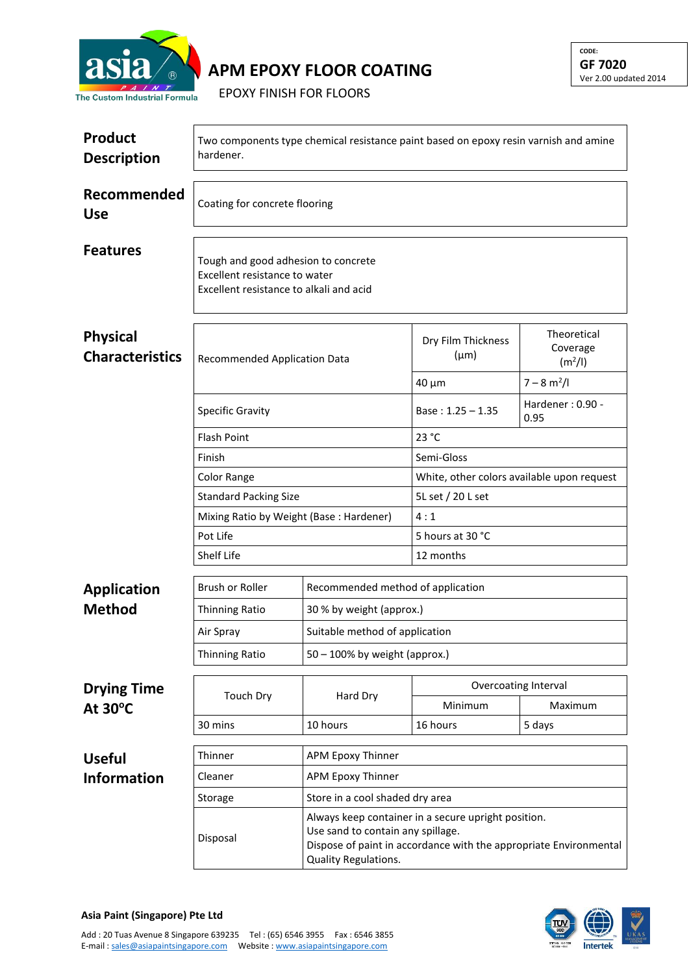

**APM EPOXY FLOOR COATING**

EPOXY FINISH FOR FLOORS

| <b>Product</b><br><b>Description</b>      | Two components type chemical resistance paint based on epoxy resin varnish and amine<br>hardener.               |                                                                                                                                |                                                     |                                                |  |  |
|-------------------------------------------|-----------------------------------------------------------------------------------------------------------------|--------------------------------------------------------------------------------------------------------------------------------|-----------------------------------------------------|------------------------------------------------|--|--|
| Recommended<br><b>Use</b>                 | Coating for concrete flooring                                                                                   |                                                                                                                                |                                                     |                                                |  |  |
| <b>Features</b>                           | Tough and good adhesion to concrete<br>Excellent resistance to water<br>Excellent resistance to alkali and acid |                                                                                                                                |                                                     |                                                |  |  |
| <b>Physical</b><br><b>Characteristics</b> | Recommended Application Data                                                                                    |                                                                                                                                | Dry Film Thickness<br>$(\mu m)$                     | Theoretical<br>Coverage<br>(m <sup>2</sup> /I) |  |  |
|                                           |                                                                                                                 |                                                                                                                                | $40 \mu m$                                          | $7 - 8 m2/I$                                   |  |  |
|                                           | Specific Gravity                                                                                                |                                                                                                                                | Base: $1.25 - 1.35$                                 | Hardener: 0.90 -<br>0.95                       |  |  |
|                                           | <b>Flash Point</b>                                                                                              |                                                                                                                                | 23 °C                                               |                                                |  |  |
|                                           | Finish                                                                                                          |                                                                                                                                | Semi-Gloss                                          |                                                |  |  |
|                                           | Color Range                                                                                                     |                                                                                                                                | White, other colors available upon request          |                                                |  |  |
|                                           | <b>Standard Packing Size</b>                                                                                    |                                                                                                                                | 5L set / 20 L set                                   |                                                |  |  |
|                                           | Mixing Ratio by Weight (Base: Hardener)                                                                         |                                                                                                                                | 4:1                                                 |                                                |  |  |
|                                           | Pot Life                                                                                                        |                                                                                                                                | 5 hours at 30 °C                                    |                                                |  |  |
|                                           | Shelf Life                                                                                                      | 12 months                                                                                                                      |                                                     |                                                |  |  |
| <b>Application</b>                        | Brush or Roller                                                                                                 |                                                                                                                                | Recommended method of application                   |                                                |  |  |
| <b>Method</b>                             | <b>Thinning Ratio</b>                                                                                           | 30 % by weight (approx.)                                                                                                       |                                                     |                                                |  |  |
|                                           | Air Spray                                                                                                       | Suitable method of application                                                                                                 |                                                     |                                                |  |  |
|                                           | <b>Thinning Ratio</b>                                                                                           | $50 - 100\%$ by weight (approx.)                                                                                               |                                                     |                                                |  |  |
|                                           |                                                                                                                 | Overcoating Interval                                                                                                           |                                                     |                                                |  |  |
| <b>Drying Time</b><br>At $30^{\circ}$ C   | <b>Touch Dry</b>                                                                                                | Hard Dry                                                                                                                       | Minimum                                             | Maximum                                        |  |  |
|                                           | 30 mins                                                                                                         | 10 hours                                                                                                                       | 16 hours                                            | 5 days                                         |  |  |
|                                           | Thinner                                                                                                         | <b>APM Epoxy Thinner</b>                                                                                                       |                                                     |                                                |  |  |
| <b>Useful</b><br><b>Information</b>       | Cleaner                                                                                                         | <b>APM Epoxy Thinner</b>                                                                                                       |                                                     |                                                |  |  |
|                                           | Storage                                                                                                         |                                                                                                                                | Store in a cool shaded dry area                     |                                                |  |  |
|                                           |                                                                                                                 |                                                                                                                                | Always keep container in a secure upright position. |                                                |  |  |
|                                           | Disposal                                                                                                        | Use sand to contain any spillage.<br>Dispose of paint in accordance with the appropriate Environmental<br>Quality Regulations. |                                                     |                                                |  |  |